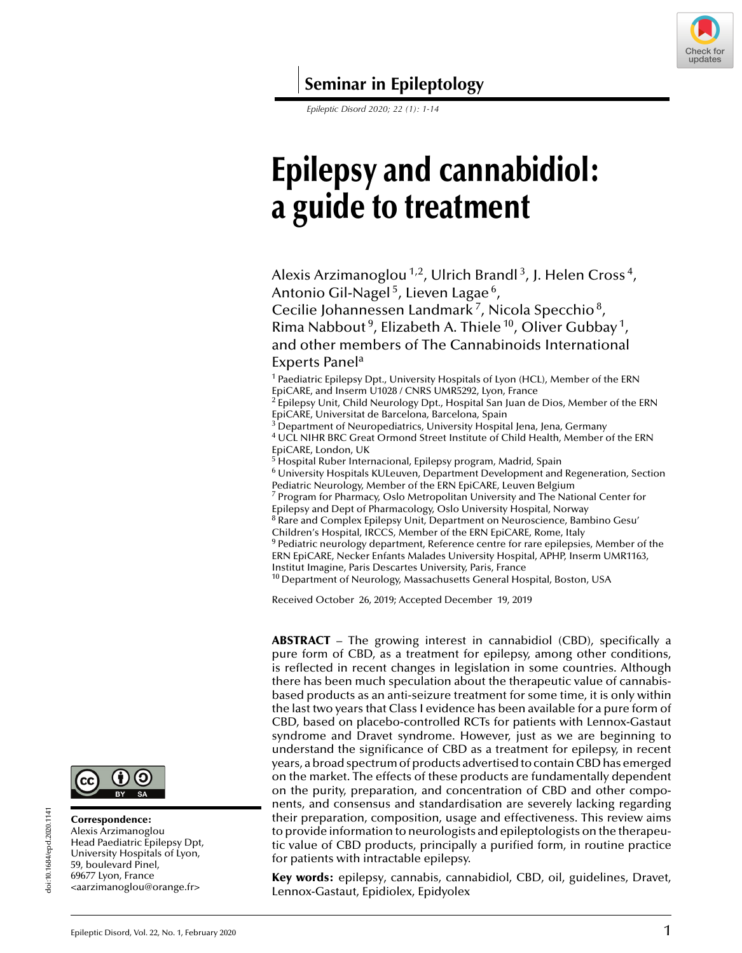

**Seminar in Epileptology**

*Epileptic Disord 2020; 22 (1): 1-14*

# **Epilepsy and cannabidiol: a guide to treatment**

Alexis Arzimanoglou<sup>1,2</sup>, Ulrich Brandl<sup>3</sup>, J. Helen Cross<sup>4</sup>, Antonio Gil-Nagel<sup>5</sup>, Lieven Lagae<sup>6</sup>,

Cecilie Johannessen Landmark<sup>7</sup>, Nicola Specchio<sup>8</sup>, Rima Nabbout<sup>9</sup>, Elizabeth A. Thiele<sup>10</sup>, Oliver Gubbay<sup>1</sup>, and other members of The Cannabinoids International Experts Panel<sup>a</sup>

<sup>1</sup> Paediatric Epilepsy Dpt., University Hospitals of Lyon (HCL), Member of the ERN EpiCARE, and Inserm U1028 / CNRS UMR5292, Lyon, France

 $2$  Epilepsy Unit, Child Neurology Dpt., Hospital San Juan de Dios, Member of the ERN EpiCARE, Universitat de Barcelona, Barcelona, Spain

- $^3$  Department of Neuropediatrics, University Hospital Jena, Jena, Germany <sup>4</sup> UCL NIHR BRC Great Ormond Street Institute of Child Health, Member of the ERN EpiCARE, London, UK
- <sup>5</sup> Hospital Ruber Internacional, Epilepsy program, Madrid, Spain

<sup>6</sup> University Hospitals KULeuven, Department Development and Regeneration, Section Pediatric Neurology, Member of the ERN EpiCARE, Leuven Belgium

<sup>7</sup> Program for Pharmacy, Oslo Metropolitan University and The National Center for Epilepsy and Dept of Pharmacology, Oslo University Hospital, Norway

 $8^8$  Rare and Complex Epilepsy Unit, Department on Neuroscience, Bambino Gesu' Children's Hospital, IRCCS, Member of the ERN EpiCARE, Rome, Italy

 $9$  Pediatric neurology department, Reference centre for rare epilepsies, Member of the ERN EpiCARE, Necker Enfants Malades University Hospital, APHP, Inserm UMR1163,

Institut Imagine, Paris Descartes University, Paris, France

<sup>10</sup> Department of Neurology, Massachusetts General Hospital, Boston, USA

Received October 26, 2019; Accepted December 19, 2019

**ABSTRACT** – The growing interest in cannabidiol (CBD), specifically a pure form of CBD, as a treatment for epilepsy, among other conditions, is reflected in recent changes in legislation in some countries. Although there has been much speculation about the therapeutic value of cannabisbased products as an anti-seizure treatment for some time, it is only within the last two years that Class I evidence has been available for a pure form of CBD, based on placebo-controlled RCTs for patients with Lennox-Gastaut syndrome and Dravet syndrome. However, just as we are beginning to understand the significance of CBD as a treatment for epilepsy, in recent years, a broad spectrum of products advertised to contain CBD has emerged on the market. The effects of these products are fundamentally dependent on the purity, preparation, and concentration of CBD and other components, and consensus and standardisation are severely lacking regarding their preparation, composition, usage and effectiveness. This review aims to provide information to neurologists and epileptologists on the therapeutic value of CBD products, principally a purified form, in routine practice for patients with intractable epilepsy.

**Key words:** epilepsy, cannabis, cannabidiol, CBD, oil, guidelines, Dravet, Lennox-Gastaut, Epidiolex, Epidyolex

# Alexis Arzimanoglou

doi:10.1684/epd.2020.1141

doi:10.1684/epd.2020.1141

Head Paediatric Epilepsy Dpt, University Hospitals of Lyon, 59, boulevard Pinel, 69677 Lyon, France <[aarzimanoglou@orange.fr>](mailto:aarzimanoglou@orange.fr)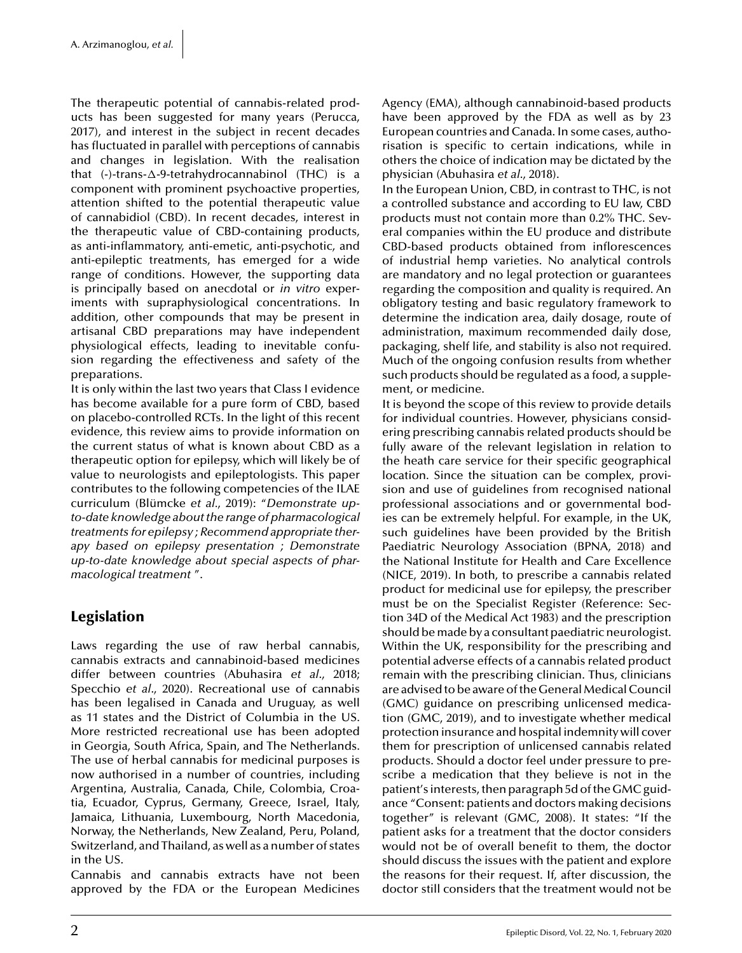The therapeutic potential of cannabis-related products has been suggested for many years ([Perucca,](#page-12-0) [2017\),](#page-12-0) and interest in the subject in recent decades has fluctuated in parallel with perceptions of cannabis and changes in legislation. With the realisation that (-)-trans-*-*-9-tetrahydrocannabinol (THC) is a component with prominent psychoactive properties, attention shifted to the potential therapeutic value of cannabidiol (CBD). In recent decades, interest in the therapeutic value of CBD-containing products, as anti-inflammatory, anti-emetic, anti-psychotic, and anti-epileptic treatments, has emerged for a wide range of conditions. However, the supporting data is principally based on anecdotal or *in vitro* experiments with supraphysiological concentrations. In addition, other compounds that may be present in artisanal CBD preparations may have independent physiological effects, leading to inevitable confusion regarding the effectiveness and safety of the preparations.

It is only within the last two years that Class I evidence has become available for a pure form of CBD, based on placebo-controlled RCTs. In the light of this recent evidence, this review aims to provide information on the current status of what is known about CBD as a therapeutic option for epilepsy, which will likely be of value to neurologists and epileptologists. This paper contributes to the following competencies of the ILAE curriculum ([Blümcke](#page-11-0) *[et al.](#page-11-0)*, [2019\):](#page-11-0) "*Demonstrate upto-date knowledge about the range of pharmacological treatments for epilepsy ; Recommend appropriate therapy based on epilepsy presentation ; Demonstrate up-to-date knowledge about special aspects of pharmacological treatment* ".

# **Legislation**

Laws regarding the use of raw herbal cannabis, cannabis extracts and cannabinoid-based medicines differ between countries ([Abuhasira](#page-11-0) *[et](#page-11-0) al*[., 2018;](#page-11-0) [Specchio](#page-11-0) *[et a](#page-11-0)l*[., 2020\).](#page-11-0) Recreational use of cannabis has been legalised in Canada and Uruguay, as well as 11 states and the District of Columbia in the US. More restricted recreational use has been adopted in Georgia, South Africa, Spain, and The Netherlands. The use of herbal cannabis for medicinal purposes is now authorised in a number of countries, including Argentina, Australia, Canada, Chile, Colombia, Croatia, Ecuador, Cyprus, Germany, Greece, Israel, Italy, Jamaica, Lithuania, Luxembourg, North Macedonia, Norway, the Netherlands, New Zealand, Peru, Poland, Switzerland, and Thailand, as well as a number of states in the US.

Cannabis and cannabis extracts have not been approved by the FDA or the European Medicines Agency (EMA), although cannabinoid-based products have been approved by the FDA as well as by 23 European countries and Canada. In some cases, authorisation is specific to certain indications, while in others the choice of indication may be dictated by the physician [\(Abuhasira](#page-11-0) *[et a](#page-11-0)l*[., 2018\).](#page-11-0)

In the European Union, CBD, in contrast to THC, is not a controlled substance and according to EU law, CBD products must not contain more than 0.2% THC. Several companies within the EU produce and distribute CBD-based products obtained from inflorescences of industrial hemp varieties. No analytical controls are mandatory and no legal protection or guarantees regarding the composition and quality is required. An obligatory testing and basic regulatory framework to determine the indication area, daily dosage, route of administration, maximum recommended daily dose, packaging, shelf life, and stability is also not required. Much of the ongoing confusion results from whether such products should be regulated as a food, a supplement, or medicine.

It is beyond the scope of this review to provide details for individual countries. However, physicians considering prescribing cannabis related products should be fully aware of the relevant legislation in relation to the heath care service for their specific geographical location. Since the situation can be complex, provision and use of guidelines from recognised national professional associations and or governmental bodies can be extremely helpful. For example, in the UK, such guidelines have been provided by the British Paediatric Neurology Association [\(BPNA, 2018\)](#page-11-0) and the National Institute for Health and Care Excellence ([NICE, 2019\).](#page-12-0) In both, to prescribe a cannabis related product for medicinal use for epilepsy, the prescriber must be on the Specialist Register (Reference: Section 34D of the Medical Act 1983) and the prescription should be made by a consultant paediatric neurologist. Within the UK, responsibility for the prescribing and potential adverse effects of a cannabis related product remain with the prescribing clinician. Thus, clinicians are advised to be aware of the General Medical Council (GMC) guidance on prescribing unlicensed medication ([GMC, 2019\),](#page-11-0) and to investigate whether medical protection insurance and hospital indemnity will cover them for prescription of unlicensed cannabis related products. Should a doctor feel under pressure to prescribe a medication that they believe is not in the patient's interests, then paragraph 5d of the GMC guidance "Consent: patients and doctors making decisions together" is relevant [\(GMC, 2008\).](#page-11-0) It states: "If the patient asks for a treatment that the doctor considers would not be of overall benefit to them, the doctor should discuss the issues with the patient and explore the reasons for their request. If, after discussion, the doctor still considers that the treatment would not be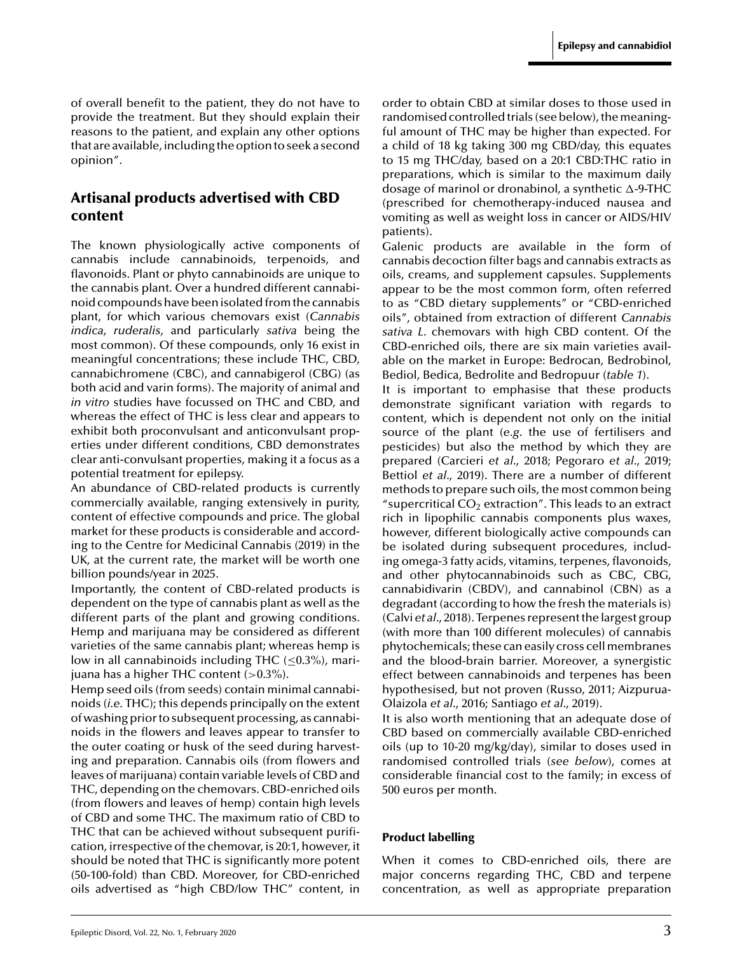of overall benefit to the patient, they do not have to provide the treatment. But they should explain their reasons to the patient, and explain any other options that are available, including the option to seek a second opinion".

## **Artisanal products advertised with CBD content**

The known physiologically active components of cannabis include cannabinoids, terpenoids, and flavonoids. Plant or phyto cannabinoids are unique to the cannabis plant. Over a hundred different cannabinoid compounds have been isolated from the cannabis plant, for which various chemovars exist (*Cannabis indica*, *ruderalis*, and particularly *sativa* being the most common). Of these compounds, only 16 exist in meaningful concentrations; these include THC, CBD, cannabichromene (CBC), and cannabigerol (CBG) (as both acid and varin forms). The majority of animal and *in vitro* studies have focussed on THC and CBD, and whereas the effect of THC is less clear and appears to exhibit both proconvulsant and anticonvulsant properties under different conditions, CBD demonstrates clear anti-convulsant properties, making it a focus as a potential treatment for epilepsy.

An abundance of CBD-related products is currently commercially available, ranging extensively in purity, content of effective compounds and price. The global market for these products is considerable and according to the [Centre for Medicinal Cannabis \(2019\) i](#page-11-0)n the UK, at the current rate, the market will be worth one billion pounds/year in 2025.

Importantly, the content of CBD-related products is dependent on the type of cannabis plant as well as the different parts of the plant and growing conditions. Hemp and marijuana may be considered as different varieties of the same cannabis plant; whereas hemp is low in all cannabinoids including THC  $(\leq 0.3\%)$ , marijuana has a higher THC content (*>*0.3%).

Hemp seed oils (from seeds) contain minimal cannabinoids (*i.e.* THC); this depends principally on the extent of washing prior to subsequent processing, as cannabinoids in the flowers and leaves appear to transfer to the outer coating or husk of the seed during harvesting and preparation. Cannabis oils (from flowers and leaves of marijuana) contain variable levels of CBD and THC, depending on the chemovars. CBD-enriched oils (from flowers and leaves of hemp) contain high levels of CBD and some THC. The maximum ratio of CBD to THC that can be achieved without subsequent purification, irrespective of the chemovar, is 20:1, however, it should be noted that THC is significantly more potent (50-100-fold) than CBD. Moreover, for CBD-enriched oils advertised as "high CBD/low THC" content, in

order to obtain CBD at similar doses to those used in randomised controlled trials (see below), themeaningful amount of THC may be higher than expected. For a child of 18 kg taking 300 mg CBD/day, this equates to 15 mg THC/day, based on a 20:1 CBD:THC ratio in preparations, which is similar to the maximum daily dosage of marinol or dronabinol, a synthetic  $\Delta$ -9-THC (prescribed for chemotherapy-induced nausea and vomiting as well as weight loss in cancer or AIDS/HIV patients).

Galenic products are available in the form of cannabis decoction filter bags and cannabis extracts as oils, creams, and supplement capsules. Supplements appear to be the most common form, often referred to as "CBD dietary supplements" or "CBD-enriched oils", obtained from extraction of different *Cannabis sativa L*. chemovars with high CBD content. Of the CBD-enriched oils, there are six main varieties available on the market in Europe: Bedrocan, Bedrobinol, Bediol, Bedica, Bedrolite and Bedropuur (*[table 1](#page-3-0)*).

It is important to emphasise that these products demonstrate significant variation with regards to content, which is dependent not only on the initial source of the plant (*e.g*. the use of fertilisers and pesticides) but also the method by which they are prepared ([Carcieri](#page-11-0) *[et a](#page-11-0)l*[., 2018; Pegoraro](#page-11-0) *[et a](#page-11-0)l*[., 2019;](#page-11-0) [Bettiol](#page-11-0) *[et a](#page-11-0)l*[., 2019\).](#page-11-0) There are a number of different methods to prepare such oils, the most common being "supercritical  $CO<sub>2</sub>$  extraction". This leads to an extract rich in lipophilic cannabis components plus waxes, however, different biologically active compounds can be isolated during subsequent procedures, including omega-3 fatty acids, vitamins, terpenes, flavonoids, and other phytocannabinoids such as CBC, CBG, cannabidivarin (CBDV), and cannabinol (CBN) as a degradant (according to how the fresh the materials is) ([Calvi](#page-11-0) *[et a](#page-11-0)l*[., 2018\).](#page-11-0) Terpenes represent the largest group (with more than 100 different molecules) of cannabis phytochemicals; these can easily cross cell membranes and the blood-brain barrier. Moreover, a synergistic effect between cannabinoids and terpenes has been hypothesised, but not proven [\(Russo, 2011; Aizpurua-](#page-12-0)Olaizola *[et a](#page-12-0)l*[., 2016; Santiago](#page-12-0) *[et a](#page-12-0)l*[., 2019\).](#page-12-0)

It is also worth mentioning that an adequate dose of CBD based on commercially available CBD-enriched oils (up to 10-20 mg/kg/day), similar to doses used in randomised controlled trials (*see below*), comes at considerable financial cost to the family; in excess of 500 euros per month.

#### **Product labelling**

When it comes to CBD-enriched oils, there are major concerns regarding THC, CBD and terpene concentration, as well as appropriate preparation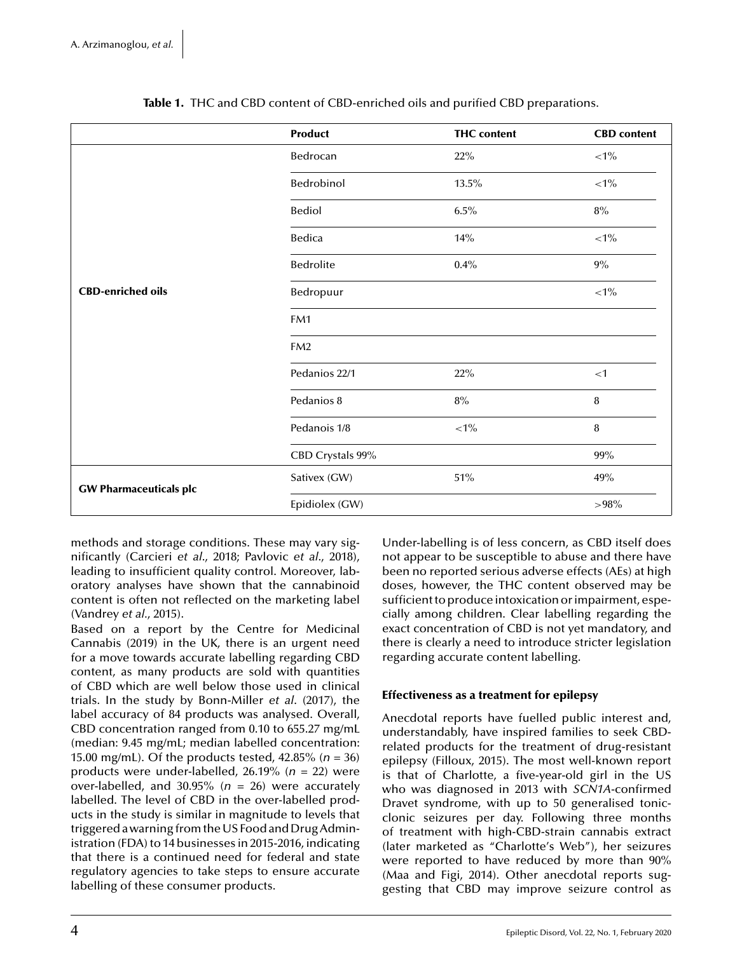<span id="page-3-0"></span>

|                               | Product                  | <b>THC</b> content | <b>CBD</b> content |  |
|-------------------------------|--------------------------|--------------------|--------------------|--|
|                               | Bedrocan                 | 22%                | ${<}1\%$           |  |
| <b>CBD-enriched oils</b>      | Bedrobinol               | 13.5%              | ${<}1\%$           |  |
|                               | Bediol                   | 6.5%               | $8\%$              |  |
|                               | Bedica                   | 14%                | ${<}1\%$           |  |
|                               | Bedrolite<br>$0.4\%$     |                    | $9\%$              |  |
|                               | Bedropuur                |                    | ${<}1\%$           |  |
|                               | FM1                      |                    |                    |  |
|                               | FM <sub>2</sub>          |                    |                    |  |
|                               | Pedanios 22/1<br>22%     |                    | $<$ 1              |  |
|                               | Pedanios 8<br>$8\%$      |                    | 8                  |  |
|                               | Pedanois 1/8<br>$<\!1\%$ |                    | $\, 8$             |  |
|                               | CBD Crystals 99%         |                    | $99\%$             |  |
| <b>GW Pharmaceuticals plc</b> | Sativex (GW)             | $51\%$             | 49%                |  |
|                               | Epidiolex (GW)           | >98%               |                    |  |

**Table 1.** THC and CBD content of CBD-enriched oils and purified CBD preparations.

methods and storage conditions. These may vary significantly [\(Carcieri](#page-11-0) *[et a](#page-11-0)l*[., 2018; Pavlovic](#page-11-0) *[et a](#page-11-0)l*[., 2018\),](#page-11-0) leading to insufficient quality control. Moreover, laboratory analyses have shown that the cannabinoid content is often not reflected on the marketing label ([Vandrey](#page-12-0) *[et al.](#page-12-0)*, [2015\).](#page-12-0)

Based on a report by the [Centre for Medicinal](#page-11-0) [Cannabis \(2019\) i](#page-11-0)n the UK, there is an urgent need for a move towards accurate labelling regarding CBD content, as many products are sold with quantities of CBD which are well below those used in clinical trials. In the study by [Bonn-Miller](#page-11-0) *[et a](#page-11-0)l*[. \(2017\),](#page-11-0) the label accuracy of 84 products was analysed. Overall, CBD concentration ranged from 0.10 to 655.27 mg/mL (median: 9.45 mg/mL; median labelled concentration: 15.00 mg/mL). Of the products tested, 42.85% (*n* = 36) products were under-labelled, 26.19% (*n* = 22) were over-labelled, and 30.95%  $(n = 26)$  were accurately labelled. The level of CBD in the over-labelled products in the study is similar in magnitude to levels that triggered a warning from the US Food and Drug Administration (FDA) to 14 businesses in 2015-2016, indicating that there is a continued need for federal and state regulatory agencies to take steps to ensure accurate labelling of these consumer products.

Under-labelling is of less concern, as CBD itself does not appear to be susceptible to abuse and there have been no reported serious adverse effects (AEs) at high doses, however, the THC content observed may be sufficient to produce intoxication or impairment, especially among children. Clear labelling regarding the exact concentration of CBD is not yet mandatory, and there is clearly a need to introduce stricter legislation regarding accurate content labelling.

#### **Effectiveness as a treatment for epilepsy**

Anecdotal reports have fuelled public interest and, understandably, have inspired families to seek CBDrelated products for the treatment of drug-resistant epilepsy ([Filloux, 2015\).](#page-11-0) The most well-known report is that of Charlotte, a five-year-old girl in the US who was diagnosed in 2013 with *SCN1A*-confirmed Dravet syndrome, with up to 50 generalised tonicclonic seizures per day. Following three months of treatment with high-CBD-strain cannabis extract (later marketed as "Charlotte's Web"), her seizures were reported to have reduced by more than 90% ([Maa and Figi, 2014\).](#page-12-0) Other anecdotal reports suggesting that CBD may improve seizure control as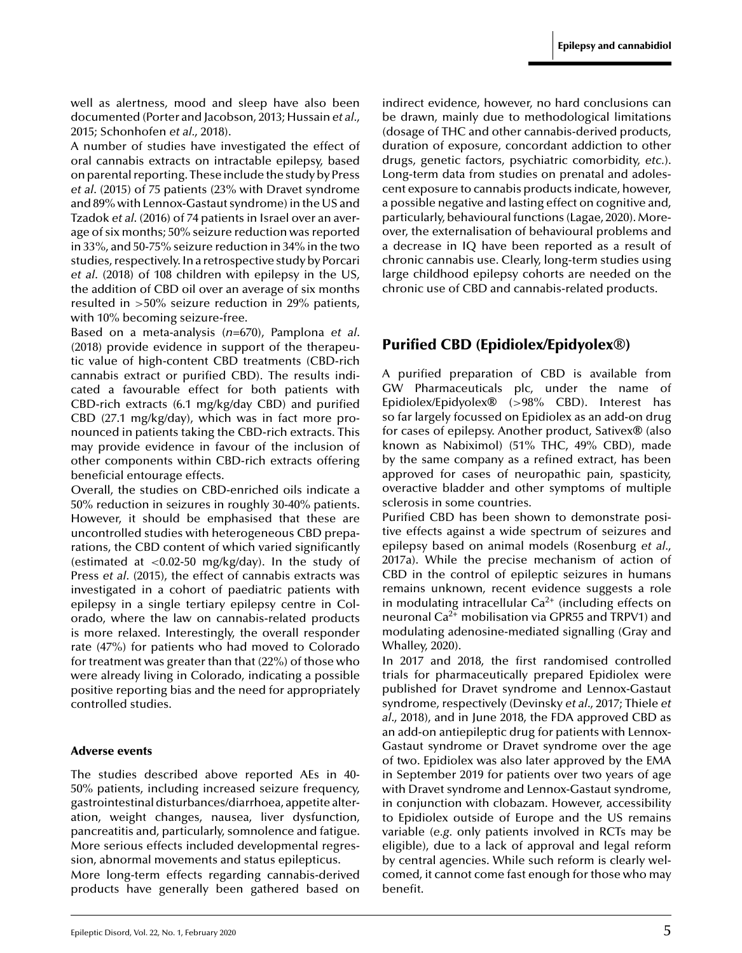well as alertness, mood and sleep have also been documented [\(Porter and Jacobson, 2013; Hussain](#page-12-0) *[et al.](#page-12-0)*, [2015; Schonhofen](#page-12-0) *[et al.](#page-12-0)*, [2018\).](#page-12-0)

A number of studies have investigated the effect of oral cannabis extracts on intractable epilepsy, based on parental reporting. These include the study by [Press](#page-12-0) *[et a](#page-12-0)l*[. \(2015\) o](#page-12-0)f 75 patients (23% with Dravet syndrome and 89% with Lennox-Gastaut syndrome) in the US and [Tzadok](#page-12-0) *[et a](#page-12-0)l*[. \(2016\) o](#page-12-0)f 74 patients in Israel over an average of six months; 50% seizure reduction was reported in 33%, and 50-75% seizure reduction in 34% in the two studies, respectively. In a retrospective study by [Porcari](#page-12-0) *[et a](#page-12-0)l*[. \(2018\) o](#page-12-0)f 108 children with epilepsy in the US, the addition of CBD oil over an average of six months resulted in *>*50% seizure reduction in 29% patients, with 10% becoming seizure-free.

Based on a meta-analysis (*n*=670), [Pamplona](#page-12-0) *[et al](#page-12-0)*. [\(2018\) p](#page-12-0)rovide evidence in support of the therapeutic value of high-content CBD treatments (CBD-rich cannabis extract or purified CBD). The results indicated a favourable effect for both patients with CBD-rich extracts (6.1 mg/kg/day CBD) and purified CBD (27.1 mg/kg/day), which was in fact more pronounced in patients taking the CBD-rich extracts. This may provide evidence in favour of the inclusion of other components within CBD-rich extracts offering beneficial entourage effects.

Overall, the studies on CBD-enriched oils indicate a 50% reduction in seizures in roughly 30-40% patients. However, it should be emphasised that these are uncontrolled studies with heterogeneous CBD preparations, the CBD content of which varied significantly (estimated at *<*0.02-50 mg/kg/day). In the study of [Press](#page-12-0) *[et a](#page-12-0)l*[. \(2015\),](#page-12-0) the effect of cannabis extracts was investigated in a cohort of paediatric patients with epilepsy in a single tertiary epilepsy centre in Colorado, where the law on cannabis-related products is more relaxed. Interestingly, the overall responder rate (47%) for patients who had moved to Colorado for treatment was greater than that (22%) of those who were already living in Colorado, indicating a possible positive reporting bias and the need for appropriately controlled studies.

#### **Adverse events**

The studies described above reported AEs in 40- 50% patients, including increased seizure frequency, gastrointestinal disturbances/diarrhoea, appetite alteration, weight changes, nausea, liver dysfunction, pancreatitis and, particularly, somnolence and fatigue. More serious effects included developmental regression, abnormal movements and status epilepticus. More long-term effects regarding cannabis-derived products have generally been gathered based on

indirect evidence, however, no hard conclusions can be drawn, mainly due to methodological limitations (dosage of THC and other cannabis-derived products, duration of exposure, concordant addiction to other drugs, genetic factors, psychiatric comorbidity, *etc.*). Long-term data from studies on prenatal and adolescent exposure to cannabis products indicate, however, a possible negative and lasting effect on cognitive and, particularly, behavioural functions [\(Lagae, 2020\).](#page-12-0) Moreover, the externalisation of behavioural problems and a decrease in IQ have been reported as a result of chronic cannabis use. Clearly, long-term studies using large childhood epilepsy cohorts are needed on the chronic use of CBD and cannabis-related products.

# **Purified CBD (Epidiolex/Epidyolex**®**)**

A purified preparation of CBD is available from GW Pharmaceuticals plc, under the name of Epidiolex/Epidyolex® (*>*98% CBD). Interest has so far largely focussed on Epidiolex as an add-on drug for cases of epilepsy. Another product, Sativex® (also known as Nabiximol) (51% THC, 49% CBD), made by the same company as a refined extract, has been approved for cases of neuropathic pain, spasticity, overactive bladder and other symptoms of multiple sclerosis in some countries.

Purified CBD has been shown to demonstrate positive effects against a wide spectrum of seizures and epilepsy based on animal models [\(Rosenburg](#page-12-0) *[et al.](#page-12-0)*, [2017a\).](#page-12-0) While the precise mechanism of action of CBD in the control of epileptic seizures in humans remains unknown, recent evidence suggests a role in modulating intracellular  $Ca^{2+}$  (including effects on neuronal  $Ca^{2+}$  mobilisation via GPR55 and TRPV1) and modulating adenosine-mediated signalling [\(Gray and](#page-11-0) [Whalley, 2020\).](#page-11-0)

In 2017 and 2018, the first randomised controlled trials for pharmaceutically prepared Epidiolex were published for Dravet syndrome and Lennox-Gastaut syndrome, respectively ([Devinsky](#page-11-0) *[et a](#page-11-0)l*[., 2017; Thiele](#page-11-0) *[et](#page-11-0) al*[., 2018\),](#page-11-0) and in June 2018, the FDA approved CBD as an add-on antiepileptic drug for patients with Lennox-Gastaut syndrome or Dravet syndrome over the age of two. Epidiolex was also later approved by the EMA in September 2019 for patients over two years of age with Dravet syndrome and Lennox-Gastaut syndrome, in conjunction with clobazam. However, accessibility to Epidiolex outside of Europe and the US remains variable (*e.g.* only patients involved in RCTs may be eligible), due to a lack of approval and legal reform by central agencies. While such reform is clearly welcomed, it cannot come fast enough for those who may benefit.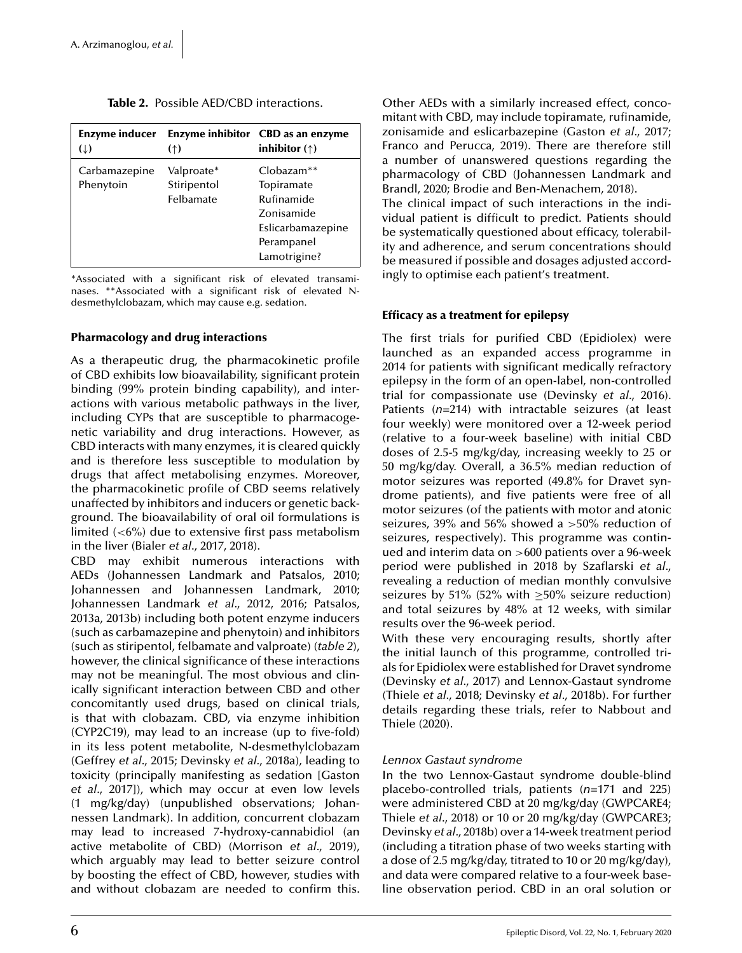| Enzyme inducer<br>$(\downarrow)$ | (                                      | Enzyme inhibitor CBD as an enzyme<br>inhibitor $($ <sup><math>\dagger)</math></sup>                      |
|----------------------------------|----------------------------------------|----------------------------------------------------------------------------------------------------------|
| Carbamazepine<br>Phenytoin       | Valproate*<br>Stiripentol<br>Felbamate | $Chbazam**$<br>Topiramate<br>Rufinamide<br>Zonisamide<br>Eslicarbamazepine<br>Perampanel<br>Lamotrigine? |

**Table 2.** Possible AED/CBD interactions.

\*Associated with a significant risk of elevated transaminases. \*\*Associated with a significant risk of elevated Ndesmethylclobazam, which may cause e.g. sedation.

#### **Pharmacology and drug interactions**

As a therapeutic drug, the pharmacokinetic profile of CBD exhibits low bioavailability, significant protein binding (99% protein binding capability), and interactions with various metabolic pathways in the liver, including CYPs that are susceptible to pharmacogenetic variability and drug interactions. However, as CBD interacts with many enzymes, it is cleared quickly and is therefore less susceptible to modulation by drugs that affect metabolising enzymes. Moreover, the pharmacokinetic profile of CBD seems relatively unaffected by inhibitors and inducers or genetic background. The bioavailability of oral oil formulations is limited (*<*6%) due to extensive first pass metabolism in the liver [\(Bialer](#page-11-0) *[et a](#page-11-0)l*[., 2017, 2018\).](#page-11-0)

CBD may exhibit numerous interactions with AEDs [\(Johannessen Landmark and Patsalos, 2010;](#page-11-0) [Johannessen and Johannessen Landmark, 2010;](#page-11-0) [Johannessen Landmark](#page-11-0) *[et](#page-11-0) al*[., 2012, 2016; Patsalos,](#page-11-0) [2013a, 2013b\)](#page-11-0) including both potent enzyme inducers (such as carbamazepine and phenytoin) and inhibitors (such as stiripentol, felbamate and valproate) (*table 2*), however, the clinical significance of these interactions may not be meaningful. The most obvious and clinically significant interaction between CBD and other concomitantly used drugs, based on clinical trials, is that with clobazam. CBD, via enzyme inhibition (CYP2C19), may lead to an increase (up to five-fold) in its less potent metabolite, N-desmethylclobazam ([Geffrey](#page-11-0) *[et a](#page-11-0)l*[., 2015; Devinsky](#page-11-0) *[et a](#page-11-0)l*[., 2018a\),](#page-11-0) leading to toxicity (principally manifesting as sedation [[Gaston](#page-11-0) *[et](#page-11-0) al*[., 2017\]\)](#page-11-0), which may occur at even low levels (1 mg/kg/day) (unpublished observations; Johannessen Landmark). In addition, concurrent clobazam may lead to increased 7-hydroxy-cannabidiol (an active metabolite of CBD) [\(Morrison](#page-12-0) *[et](#page-12-0) al*[., 2019\),](#page-12-0) which arguably may lead to better seizure control by boosting the effect of CBD, however, studies with and without clobazam are needed to confirm this.

Other AEDs with a similarly increased effect, concomitant with CBD, may include topiramate, rufinamide, zonisamide and eslicarbazepine ([Gaston](#page-11-0) *[et a](#page-11-0)l*[., 2017;](#page-11-0) [Franco and Perucca, 2019\).](#page-11-0) There are therefore still a number of unanswered questions regarding the pharmacology of CBD ([Johannessen Landmark and](#page-11-0) [Brandl, 2020; Brodie and Ben-Menachem, 2018\).](#page-11-0)

The clinical impact of such interactions in the individual patient is difficult to predict. Patients should be systematically questioned about efficacy, tolerability and adherence, and serum concentrations should be measured if possible and dosages adjusted accordingly to optimise each patient's treatment.

#### **Efficacy as a treatment for epilepsy**

The first trials for purified CBD (Epidiolex) were launched as an expanded access programme in 2014 for patients with significant medically refractory epilepsy in the form of an open-label, non-controlled trial for compassionate use [\(Devinsky](#page-11-0) *[et](#page-11-0) al*[., 2016\).](#page-11-0) Patients (*n*=214) with intractable seizures (at least four weekly) were monitored over a 12-week period (relative to a four-week baseline) with initial CBD doses of 2.5-5 mg/kg/day, increasing weekly to 25 or 50 mg/kg/day. Overall, a 36.5% median reduction of motor seizures was reported (49.8% for Dravet syndrome patients), and five patients were free of all motor seizures (of the patients with motor and atonic seizures, 39% and 56% showed a *>*50% reduction of seizures, respectively). This programme was continued and interim data on *>*600 patients over a 96-week period were published in [2018 by Szaflarski](#page-12-0) *[et al](#page-12-0)*., revealing a reduction of median monthly convulsive seizures by 51% (52% with  $\geq$ 50% seizure reduction) and total seizures by 48% at 12 weeks, with similar results over the 96-week period.

With these very encouraging results, shortly after the initial launch of this programme, controlled trials for Epidiolex were established for Dravet syndrome ([Devinsky](#page-11-0) *[et a](#page-11-0)l*[., 2017\)](#page-11-0) and Lennox-Gastaut syndrome ([Thiele](#page-12-0) *[et a](#page-12-0)l*[., 2018; Devinsky](#page-12-0) *[et a](#page-12-0)l*[., 2018b\).](#page-12-0) For further details regarding these trials, refer to [Nabbout and](#page-12-0) [Thiele \(2020\).](#page-12-0)

#### *Lennox Gastaut syndrome*

In the two Lennox-Gastaut syndrome double-blind placebo-controlled trials, patients (*n*=171 and 225) were administered CBD at 20 mg/kg/day (GWPCARE4; [Thiele](#page-12-0) *[et a](#page-12-0)l*[., 2018\)](#page-12-0) or 10 or 20 mg/kg/day (GWPCARE3; [Devinsky](#page-11-0) *[et a](#page-11-0)l*[., 2018b\) o](#page-11-0)ver a 14-week treatment period (including a titration phase of two weeks starting with a dose of 2.5 mg/kg/day, titrated to 10 or 20 mg/kg/day), and data were compared relative to a four-week baseline observation period. CBD in an oral solution or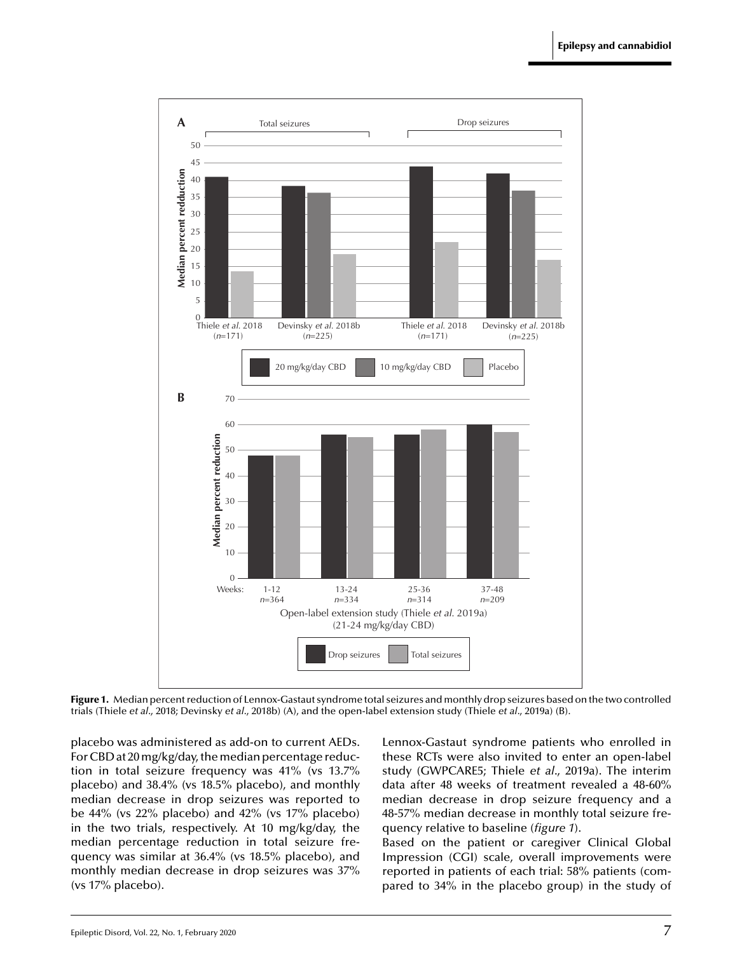

**Figure 1.** Median percent reduction of Lennox-Gastaut syndrome total seizures and monthly drop seizures based on the two controlled trials [\(Thiele](#page-12-0) *[et a](#page-12-0)l*[., 2018; Devinsky](#page-12-0) *[et a](#page-12-0)l*[., 2018b\) \(](#page-12-0)A), and the open-label extension study [\(Thiele](#page-12-0) *[et a](#page-12-0)l*[., 2019a\) \(](#page-12-0)B).

placebo was administered as add-on to current AEDs. For CBD at 20mg/kg/day, themedian percentage reduction in total seizure frequency was 41% (vs 13.7% placebo) and 38.4% (vs 18.5% placebo), and monthly median decrease in drop seizures was reported to be 44% (vs 22% placebo) and 42% (vs 17% placebo) in the two trials, respectively. At 10 mg/kg/day, the median percentage reduction in total seizure frequency was similar at 36.4% (vs 18.5% placebo), and monthly median decrease in drop seizures was 37% (vs 17% placebo).

Lennox-Gastaut syndrome patients who enrolled in these RCTs were also invited to enter an open-label study (GWPCARE5; [Thiele](#page-12-0) *[et a](#page-12-0)l*[., 2019a\).](#page-12-0) The interim data after 48 weeks of treatment revealed a 48-60% median decrease in drop seizure frequency and a 48-57% median decrease in monthly total seizure frequency relative to baseline (*figure 1*).

Based on the patient or caregiver Clinical Global Impression (CGI) scale, overall improvements were reported in patients of each trial: 58% patients (compared to 34% in the placebo group) in the study of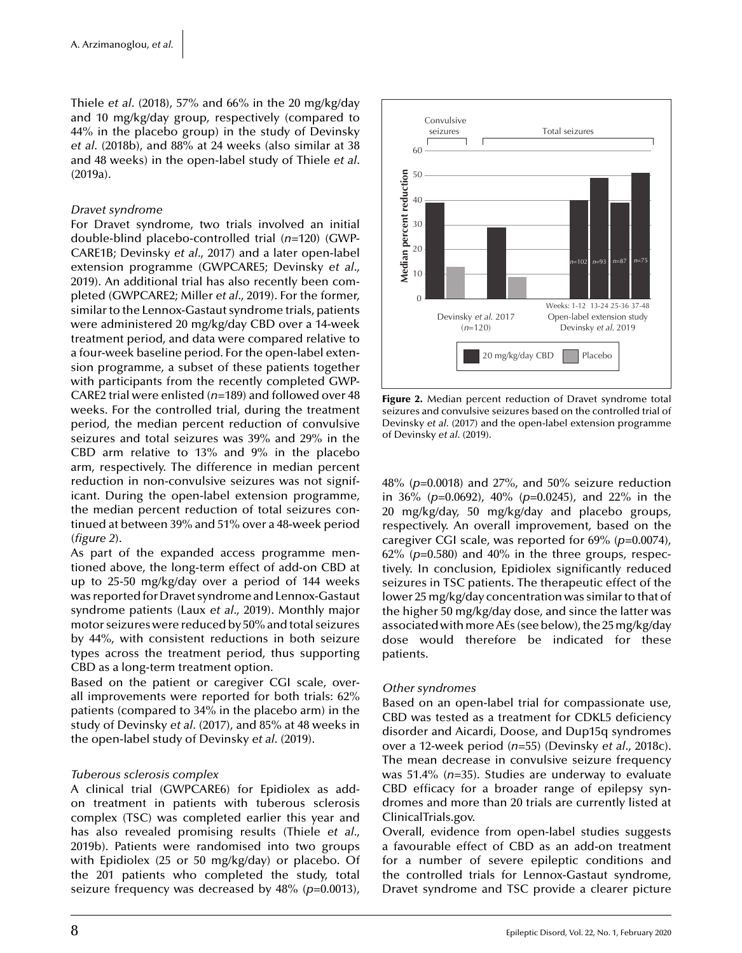[Thiele](#page-12-0) *[et al](#page-12-0)*. [\(2018\),](#page-12-0) 57% and 66% in the 20 mg/kg/day and 10 mg/kg/day group, respectively (compared to 44% in the placebo group) in the study of Devinsky *et al*. (2018b), and 88% at 24 weeks (also similar at 38 and 48 weeks) in the open-label study of [Thiele](#page-12-0) *[et al](#page-12-0)*. [\(2019a\).](#page-12-0)

#### *Dravet syndrome*

For Dravet syndrome, two trials involved an initial double-blind placebo-controlled trial (*n*=120) (GWP-CARE1B; [Devinsky](#page-11-0) *[et a](#page-11-0)l*[., 2017\)](#page-11-0) and a later open-label extension programme (GWPCARE5; [Devinsky](#page-11-0) *[et al](#page-11-0)*., [2019\).](#page-11-0) An additional trial has also recently been completed (GWPCARE2; [Miller](#page-12-0) *[et a](#page-12-0)l*[., 2019\).](#page-12-0) For the former, similar to the Lennox-Gastaut syndrome trials, patients were administered 20 mg/kg/day CBD over a 14-week treatment period, and data were compared relative to a four-week baseline period. For the open-label extension programme, a subset of these patients together with participants from the recently completed GWP-CARE2 trial were enlisted (*n*=189) and followed over 48 weeks. For the controlled trial, during the treatment period, the median percent reduction of convulsive seizures and total seizures was 39% and 29% in the CBD arm relative to 13% and 9% in the placebo arm, respectively. The difference in median percent reduction in non-convulsive seizures was not significant. During the open-label extension programme, the median percent reduction of total seizures continued at between 39% and 51% over a 48-week period (*figure 2*).

As part of the expanded access programme mentioned above, the long-term effect of add-on CBD at up to 25-50 mg/kg/day over a period of 144 weeks was reported for Dravet syndrome and Lennox-Gastaut syndrome patients [\(Laux](#page-12-0) *[et a](#page-12-0)l*[., 2019\).](#page-12-0) Monthly major motor seizures were reduced by 50% and total seizures by 44%, with consistent reductions in both seizure types across the treatment period, thus supporting CBD as a long-term treatment option.

Based on the patient or caregiver CGI scale, overall improvements were reported for both trials: 62% patients (compared to 34% in the placebo arm) in the study of [Devinsky](#page-11-0) *[et al](#page-11-0)*. [\(2017\), a](#page-11-0)nd 85% at 48 weeks in the open-label study of [Devinsky](#page-11-0) *[et a](#page-11-0)l*[. \(2019\).](#page-11-0)

#### *Tuberous sclerosis complex*

A clinical trial (GWPCARE6) for Epidiolex as addon treatment in patients with tuberous sclerosis complex (TSC) was completed earlier this year and has also revealed promising results [\(Thiele](#page-12-0) *[et al](#page-12-0)*., [2019b\).](#page-12-0) Patients were randomised into two groups with Epidiolex (25 or 50 mg/kg/day) or placebo. Of the 201 patients who completed the study, total seizure frequency was decreased by 48% (*p*=0.0013),



**Figure 2.** Median percent reduction of Dravet syndrome total seizures and convulsive seizures based on the controlled trial of [Devinsky](#page-11-0) *[et a](#page-11-0)l*[. \(2017\) a](#page-11-0)nd the open-label extension programme of [Devinsky](#page-11-0) *[et a](#page-11-0)l*[. \(2019\).](#page-11-0)

48% (*p*=0.0018) and 27%, and 50% seizure reduction in 36% (*p*=0.0692), 40% (*p*=0.0245), and 22% in the 20 mg/kg/day, 50 mg/kg/day and placebo groups, respectively. An overall improvement, based on the caregiver CGI scale, was reported for 69% (*p*=0.0074), 62% (*p*=0.580) and 40% in the three groups, respectively. In conclusion, Epidiolex significantly reduced seizures in TSC patients. The therapeutic effect of the lower 25 mg/kg/day concentration was similar to that of the higher 50 mg/kg/day dose, and since the latter was associated withmore AEs (see below), the 25mg/kg/day dose would therefore be indicated for these patients.

#### *Other syndromes*

Based on an open-label trial for compassionate use, CBD was tested as a treatment for CDKL5 deficiency disorder and Aicardi, Doose, and Dup15q syndromes over a 12-week period (*n*=55) [\(Devinsky](#page-11-0) *[et a](#page-11-0)l*[., 2018c\).](#page-11-0) The mean decrease in convulsive seizure frequency was 51.4% (*n*=35). Studies are underway to evaluate CBD efficacy for a broader range of epilepsy syndromes and more than 20 trials are currently listed at ClinicalTrials.gov.

Overall, evidence from open-label studies suggests a favourable effect of CBD as an add-on treatment for a number of severe epileptic conditions and the controlled trials for Lennox-Gastaut syndrome, Dravet syndrome and TSC provide a clearer picture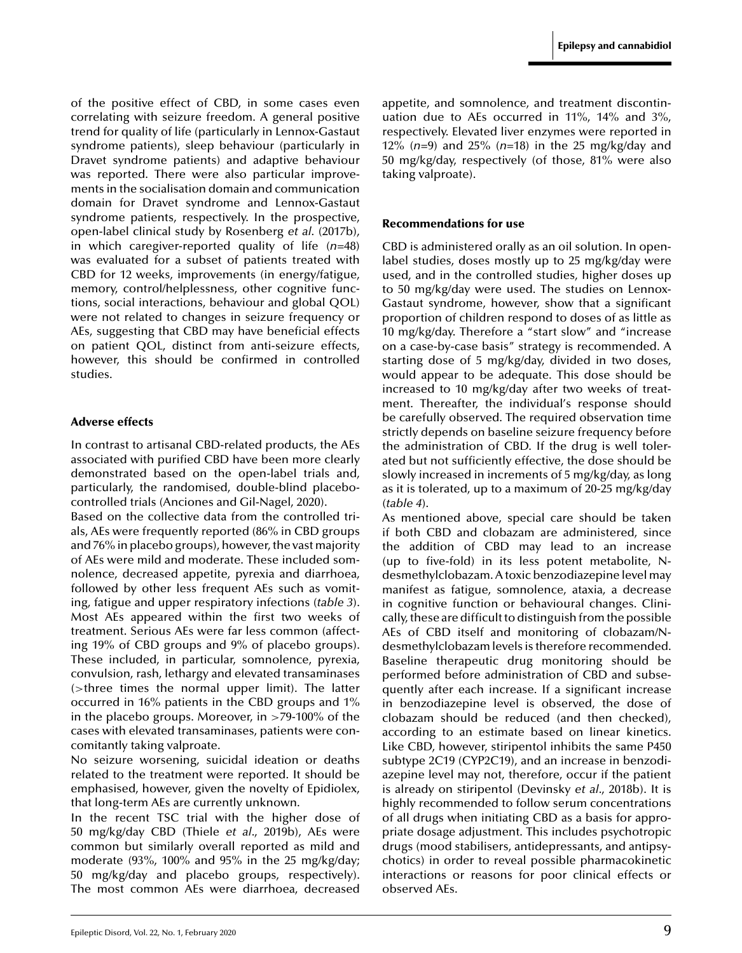of the positive effect of CBD, in some cases even correlating with seizure freedom. A general positive trend for quality of life (particularly in Lennox-Gastaut syndrome patients), sleep behaviour (particularly in Dravet syndrome patients) and adaptive behaviour was reported. There were also particular improvements in the socialisation domain and communication domain for Dravet syndrome and Lennox-Gastaut syndrome patients, respectively. In the prospective, open-label clinical study by [Rosenberg](#page-12-0) *[et a](#page-12-0)l*[. \(2017b\),](#page-12-0) in which caregiver-reported quality of life (*n*=48) was evaluated for a subset of patients treated with CBD for 12 weeks, improvements (in energy/fatigue, memory, control/helplessness, other cognitive functions, social interactions, behaviour and global QOL) were not related to changes in seizure frequency or AEs, suggesting that CBD may have beneficial effects on patient QOL, distinct from anti-seizure effects, however, this should be confirmed in controlled studies.

#### **Adverse effects**

In contrast to artisanal CBD-related products, the AEs associated with purified CBD have been more clearly demonstrated based on the open-label trials and, particularly, the randomised, double-blind placebocontrolled trials ([Anciones and Gil-Nagel, 2020\).](#page-11-0)

Based on the collective data from the controlled trials, AEs were frequently reported (86% in CBD groups and 76% in placebo groups), however, the vast majority of AEs were mild and moderate. These included somnolence, decreased appetite, pyrexia and diarrhoea, followed by other less frequent AEs such as vomiting, fatigue and upper respiratory infections (*[table 3](#page-9-0)*). Most AEs appeared within the first two weeks of treatment. Serious AEs were far less common (affecting 19% of CBD groups and 9% of placebo groups). These included, in particular, somnolence, pyrexia, convulsion, rash, lethargy and elevated transaminases (*>*three times the normal upper limit). The latter occurred in 16% patients in the CBD groups and 1% in the placebo groups. Moreover, in *>*79-100% of the cases with elevated transaminases, patients were concomitantly taking valproate.

No seizure worsening, suicidal ideation or deaths related to the treatment were reported. It should be emphasised, however, given the novelty of Epidiolex, that long-term AEs are currently unknown.

In the recent TSC trial with the higher dose of 50 mg/kg/day CBD [\(Thiele](#page-12-0) *[et a](#page-12-0)l*[., 2019b\),](#page-12-0) AEs were common but similarly overall reported as mild and moderate (93%, 100% and 95% in the 25 mg/kg/day; 50 mg/kg/day and placebo groups, respectively). The most common AEs were diarrhoea, decreased

appetite, and somnolence, and treatment discontinuation due to AEs occurred in 11%, 14% and 3%, respectively. Elevated liver enzymes were reported in 12% (*n*=9) and 25% (*n*=18) in the 25 mg/kg/day and 50 mg/kg/day, respectively (of those, 81% were also taking valproate).

#### **Recommendations for use**

CBD is administered orally as an oil solution. In openlabel studies, doses mostly up to 25 mg/kg/day were used, and in the controlled studies, higher doses up to 50 mg/kg/day were used. The studies on Lennox-Gastaut syndrome, however, show that a significant proportion of children respond to doses of as little as 10 mg/kg/day. Therefore a "start slow" and "increase on a case-by-case basis" strategy is recommended. A starting dose of 5 mg/kg/day, divided in two doses, would appear to be adequate. This dose should be increased to 10 mg/kg/day after two weeks of treatment. Thereafter, the individual's response should be carefully observed. The required observation time strictly depends on baseline seizure frequency before the administration of CBD. If the drug is well tolerated but not sufficiently effective, the dose should be slowly increased in increments of 5 mg/kg/day, as long as it is tolerated, up to a maximum of 20-25 mg/kg/day (*[table 4](#page-9-0)*).

As mentioned above, special care should be taken if both CBD and clobazam are administered, since the addition of CBD may lead to an increase (up to five-fold) in its less potent metabolite, Ndesmethylclobazam. A toxic benzodiazepine level may manifest as fatigue, somnolence, ataxia, a decrease in cognitive function or behavioural changes. Clinically, these are difficult to distinguish from the possible AEs of CBD itself and monitoring of clobazam/Ndesmethylclobazam levels is therefore recommended. Baseline therapeutic drug monitoring should be performed before administration of CBD and subsequently after each increase. If a significant increase in benzodiazepine level is observed, the dose of clobazam should be reduced (and then checked), according to an estimate based on linear kinetics. Like CBD, however, stiripentol inhibits the same P450 subtype 2C19 (CYP2C19), and an increase in benzodiazepine level may not, therefore, occur if the patient is already on stiripentol ([Devinsky](#page-11-0) *[et a](#page-11-0)l*[., 2018b\).](#page-11-0) It is highly recommended to follow serum concentrations of all drugs when initiating CBD as a basis for appropriate dosage adjustment. This includes psychotropic drugs (mood stabilisers, antidepressants, and antipsychotics) in order to reveal possible pharmacokinetic interactions or reasons for poor clinical effects or observed AEs.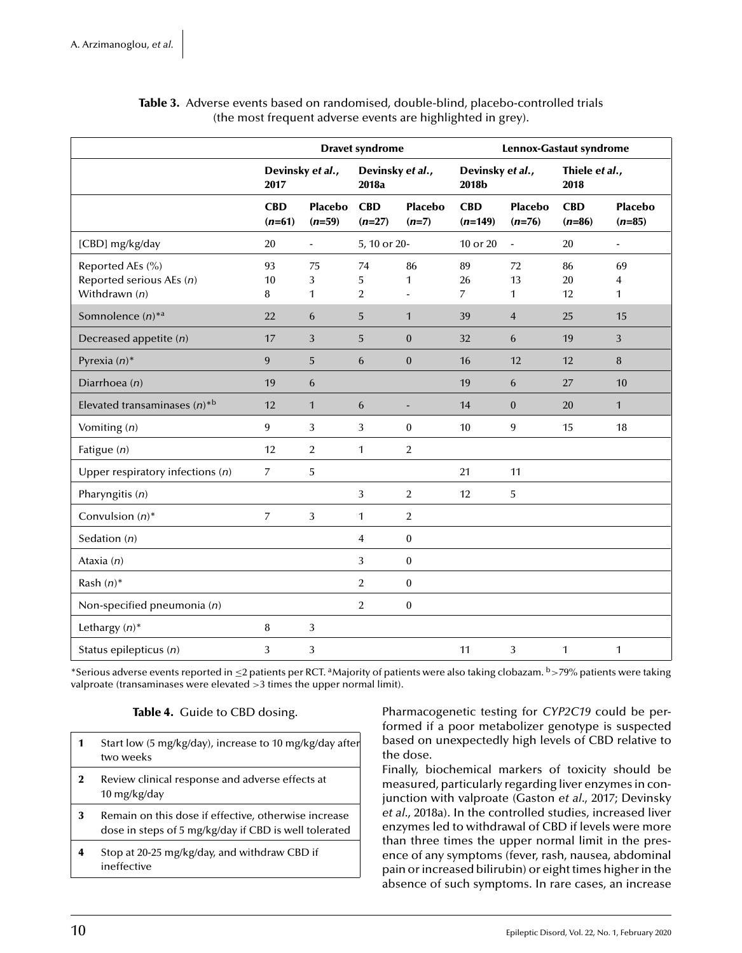<span id="page-9-0"></span>

|                                                                 | <b>Dravet syndrome</b>   |                            |                           | Lennox-Gastaut syndrome   |                            |                            |                        |                            |
|-----------------------------------------------------------------|--------------------------|----------------------------|---------------------------|---------------------------|----------------------------|----------------------------|------------------------|----------------------------|
|                                                                 | Devinsky et al.,<br>2017 |                            | Devinsky et al.,<br>2018a | Devinsky et al.,<br>2018b |                            | Thiele et al.,<br>2018     |                        |                            |
|                                                                 | <b>CBD</b><br>$(n=61)$   | <b>Placebo</b><br>$(n=59)$ | <b>CBD</b><br>$(n=27)$    | <b>Placebo</b><br>$(n=7)$ | <b>CBD</b><br>$(n=149)$    | <b>Placebo</b><br>$(n=76)$ | <b>CBD</b><br>$(n=86)$ | <b>Placebo</b><br>$(n=85)$ |
| [CBD] mg/kg/day                                                 | 20                       | $\overline{\phantom{0}}$   | 5, 10 or 20-              |                           | 10 or 20                   | $\blacksquare$             | 20                     | $\blacksquare$             |
| Reported AEs (%)<br>Reported serious AEs (n)<br>Withdrawn $(n)$ | 93<br>10<br>8            | 75<br>3<br>1               | 74<br>5<br>$\overline{2}$ | 86<br>1                   | 89<br>26<br>$\overline{7}$ | 72<br>13<br>1              | 86<br>20<br>12         | 69<br>4<br>1               |
| Somnolence $(n)^{*a}$                                           | 22                       | 6                          | 5                         | $\mathbf{1}$              | 39                         | $\overline{4}$             | 25                     | 15                         |
| Decreased appetite $(n)$                                        | 17                       | 3                          | 5                         | $\mathbf{0}$              | 32                         | 6                          | 19                     | 3                          |
| Pyrexia $(n)^*$                                                 | 9                        | 5                          | 6                         | $\mathbf{0}$              | 16                         | 12                         | 12                     | 8                          |
| Diarrhoea (n)                                                   | 19                       | 6                          |                           |                           | 19                         | 6                          | 27                     | 10                         |
| Elevated transaminases $(n)^{*b}$                               | 12                       | $\mathbf{1}$               | 6                         |                           | 14                         | $\mathbf{0}$               | 20                     | $\mathbf{1}$               |
| Vomiting $(n)$                                                  | $\overline{9}$           | 3                          | 3                         | $\boldsymbol{0}$          | 10                         | 9                          | 15                     | 18                         |
| Fatigue $(n)$                                                   | 12                       | 2                          | 1                         | $\overline{2}$            |                            |                            |                        |                            |
| Upper respiratory infections $(n)$                              | $\overline{7}$           | 5                          |                           |                           | 21                         | 11                         |                        |                            |
| Pharyngitis (n)                                                 |                          |                            | 3                         | $\overline{2}$            | 12                         | 5                          |                        |                            |
| Convulsion $(n)^*$                                              | $\overline{7}$           | 3                          | 1                         | $\overline{2}$            |                            |                            |                        |                            |
| Sedation $(n)$                                                  |                          |                            | $\overline{4}$            | $\boldsymbol{0}$          |                            |                            |                        |                            |
| Ataxia $(n)$                                                    |                          |                            | 3                         | $\boldsymbol{0}$          |                            |                            |                        |                            |
| Rash $(n)^*$                                                    |                          |                            | $\overline{2}$            | $\mathbf{0}$              |                            |                            |                        |                            |
| Non-specified pneumonia (n)                                     |                          |                            | $\overline{2}$            | $\boldsymbol{0}$          |                            |                            |                        |                            |
| Lethargy $(n)^*$                                                | 8                        | 3                          |                           |                           |                            |                            |                        |                            |
| Status epilepticus (n)                                          | 3                        | 3                          |                           |                           | 11                         | 3                          | $\mathbf{1}$           | 1                          |

#### **Table 3.** Adverse events based on randomised, double-blind, placebo-controlled trials (the most frequent adverse events are highlighted in grey).

\*Serious adverse events reported in <sup>≤</sup>2 patients per RCT. aMajority of patients were also taking clobazam. <sup>b</sup>*>*79% patients were taking valproate (transaminases were elevated *>*3 times the upper normal limit).

#### **Table 4.** Guide to CBD dosing.

| 1        | Start low (5 mg/kg/day), increase to 10 mg/kg/day after<br>two weeks                                          |
|----------|---------------------------------------------------------------------------------------------------------------|
| $\bf{2}$ | Review clinical response and adverse effects at<br>10 mg/kg/day                                               |
| 3        | Remain on this dose if effective, otherwise increase<br>dose in steps of 5 mg/kg/day if CBD is well tolerated |
|          | Stop at 20-25 mg/kg/day, and withdraw CBD if<br>ineffective                                                   |

Pharmacogenetic testing for *CYP2C19* could be performed if a poor metabolizer genotype is suspected based on unexpectedly high levels of CBD relative to the dose.

Finally, biochemical markers of toxicity should be measured, particularly regarding liver enzymes in conjunction with valproate [\(Gaston](#page-11-0) *[et a](#page-11-0)l*[., 2017; Devinsky](#page-11-0) *[et a](#page-11-0)l*[., 2018a\).](#page-11-0) In the controlled studies, increased liver enzymes led to withdrawal of CBD if levels were more than three times the upper normal limit in the presence of any symptoms (fever, rash, nausea, abdominal pain or increased bilirubin) or eight times higher in the absence of such symptoms. In rare cases, an increase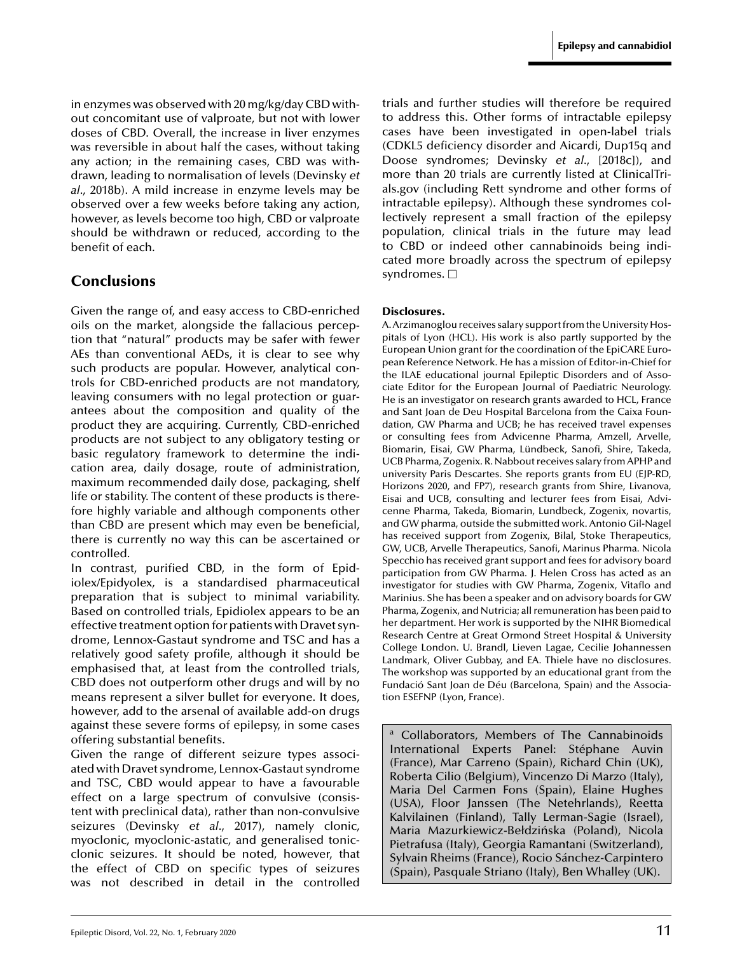in enzymes was observed with 20 mg/kg/day CBD without concomitant use of valproate, but not with lower doses of CBD. Overall, the increase in liver enzymes was reversible in about half the cases, without taking any action; in the remaining cases, CBD was withdrawn, leading to normalisation of levels [\(Devinsky](#page-11-0) *[et](#page-11-0) al*[., 2018b\).](#page-11-0) A mild increase in enzyme levels may be observed over a few weeks before taking any action, however, as levels become too high, CBD or valproate should be withdrawn or reduced, according to the benefit of each.

# **Conclusions**

Given the range of, and easy access to CBD-enriched oils on the market, alongside the fallacious perception that "natural" products may be safer with fewer AEs than conventional AEDs, it is clear to see why such products are popular. However, analytical controls for CBD-enriched products are not mandatory, leaving consumers with no legal protection or guarantees about the composition and quality of the product they are acquiring. Currently, CBD-enriched products are not subject to any obligatory testing or basic regulatory framework to determine the indication area, daily dosage, route of administration, maximum recommended daily dose, packaging, shelf life or stability. The content of these products is therefore highly variable and although components other than CBD are present which may even be beneficial, there is currently no way this can be ascertained or controlled.

In contrast, purified CBD, in the form of Epidiolex/Epidyolex, is a standardised pharmaceutical preparation that is subject to minimal variability. Based on controlled trials, Epidiolex appears to be an effective treatment option for patients with Dravet syndrome, Lennox-Gastaut syndrome and TSC and has a relatively good safety profile, although it should be emphasised that, at least from the controlled trials, CBD does not outperform other drugs and will by no means represent a silver bullet for everyone. It does, however, add to the arsenal of available add-on drugs against these severe forms of epilepsy, in some cases offering substantial benefits.

Given the range of different seizure types associated with Dravet syndrome, Lennox-Gastaut syndrome and TSC, CBD would appear to have a favourable effect on a large spectrum of convulsive (consistent with preclinical data), rather than non-convulsive seizures ([Devinsky](#page-11-0) *[et](#page-11-0) al*[., 2017\),](#page-11-0) namely clonic, myoclonic, myoclonic-astatic, and generalised tonicclonic seizures. It should be noted, however, that the effect of CBD on specific types of seizures was not described in detail in the controlled

trials and further studies will therefore be required to address this. Other forms of intractable epilepsy cases have been investigated in open-label trials (CDKL5 deficiency disorder and Aicardi, Dup15q and Doose syndromes; Devinsky *et al*., [2018c]), and more than 20 trials are currently listed at ClinicalTrials.gov (including Rett syndrome and other forms of intractable epilepsy). Although these syndromes collectively represent a small fraction of the epilepsy population, clinical trials in the future may lead to CBD or indeed other cannabinoids being indicated more broadly across the spectrum of epilepsy syndromes.  $\Box$ 

#### **Disclosures.**

A. Arzimanoglou receives salary support from the University Hospitals of Lyon (HCL). His work is also partly supported by the European Union grant for the coordination of the EpiCARE European Reference Network. He has a mission of Editor-in-Chief for the ILAE educational journal Epileptic Disorders and of Associate Editor for the European Journal of Paediatric Neurology. He is an investigator on research grants awarded to HCL, France and Sant Joan de Deu Hospital Barcelona from the Caixa Foundation, GW Pharma and UCB; he has received travel expenses or consulting fees from Advicenne Pharma, Amzell, Arvelle, Biomarin, Eisai, GW Pharma, Lündbeck, Sanofi, Shire, Takeda, UCB Pharma, Zogenix. R. Nabbout receives salary from APHP and university Paris Descartes. She reports grants from EU (EJP-RD, Horizons 2020, and FP7), research grants from Shire, Livanova, Eisai and UCB, consulting and lecturer fees from Eisai, Advicenne Pharma, Takeda, Biomarin, Lundbeck, Zogenix, novartis, and GW pharma, outside the submitted work. Antonio Gil-Nagel has received support from Zogenix, Bilal, Stoke Therapeutics, GW, UCB, Arvelle Therapeutics, Sanofi, Marinus Pharma. Nicola Specchio has received grant support and fees for advisory board participation from GW Pharma. J. Helen Cross has acted as an investigator for studies with GW Pharma, Zogenix, Vitaflo and Marinius. She has been a speaker and on advisory boards for GW Pharma, Zogenix, and Nutricia; all remuneration has been paid to her department. Her work is supported by the NIHR Biomedical Research Centre at Great Ormond Street Hospital & University College London. U. Brandl, Lieven Lagae, Cecilie Johannessen Landmark, Oliver Gubbay, and EA. Thiele have no disclosures. The workshop was supported by an educational grant from the Fundació Sant Joan de Déu (Barcelona, Spain) and the Association ESEFNP (Lyon, France).

a Collaborators, Members of The Cannabinoids International Experts Panel: Stéphane Auvin (France), Mar Carreno (Spain), Richard Chin (UK), Roberta Cilio (Belgium), Vincenzo Di Marzo (Italy), Maria Del Carmen Fons (Spain), Elaine Hughes (USA), Floor Janssen (The Netehrlands), Reetta Kalvilainen (Finland), Tally Lerman-Sagie (Israel), Maria Mazurkiewicz-Bełdzińska (Poland), Nicola Pietrafusa (Italy), Georgia Ramantani (Switzerland), Sylvain Rheims (France), Rocio Sánchez-Carpintero (Spain), Pasquale Striano (Italy), Ben Whalley (UK).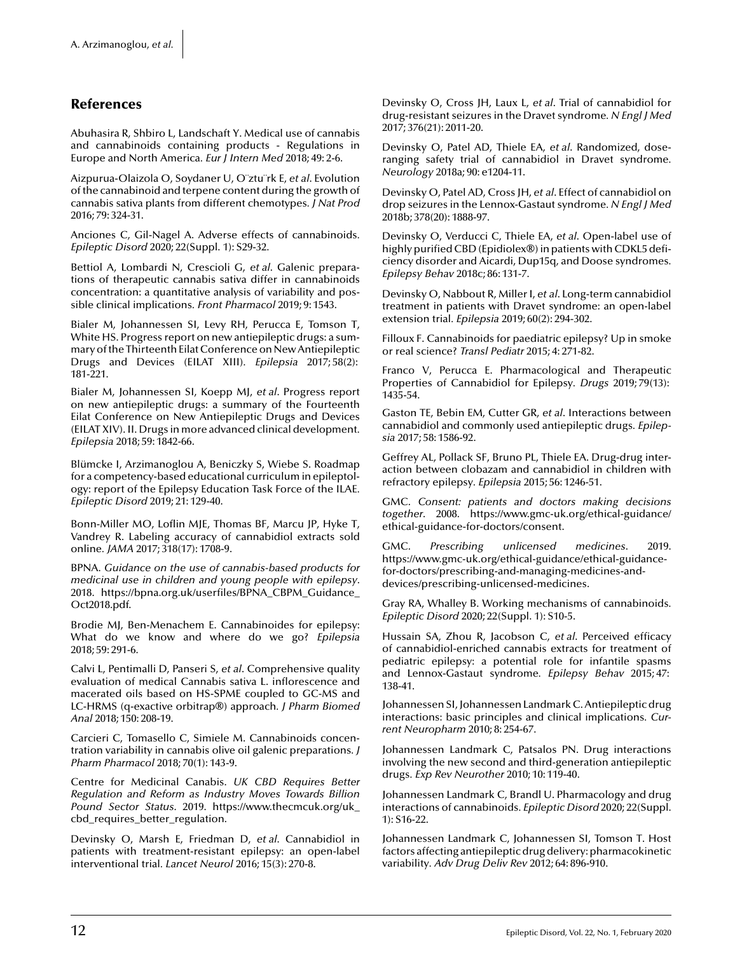### <span id="page-11-0"></span>**References**

[Abuhasira R, Shbiro L, Landschaft Y. Medical use of cannabis](http://www.ncbi.nlm.nih.gov/pubmed?term=Medical use of cannabis and cannabinoids containing products - Regulations in Europe and North America) and cannabinoids containing products - Regulations in Europe and North America*. Eur J Intern Med* 2018; 49: 2-6.

Aizpurua-Olaizola O, Soydaner U, O¨ztu¨rk E, *et al*. Evolution [of the cannabinoid and terpene content during the growth of](http://www.ncbi.nlm.nih.gov/pubmed?term=Evolution of the cannabinoid and terpene content during the growth of cannabis sativa plants from different chemotypes) cannabis sativa plants from different chemotypes*. J Nat Prod* 2016; 79: 324-31.

[Anciones C, Gil-Nagel A. Adverse effects of cannabinoids](http://www.ncbi.nlm.nih.gov/pubmed?term=Adverse effects of cannabinoids)*. Epileptic Disord* 2020; 22(Suppl. 1): S29-32.

Bettiol A, Lombardi N, Crescioli G, *et al*. Galenic prepara[tions of therapeutic cannabis sativa differ in cannabinoids](http://www.ncbi.nlm.nih.gov/pubmed?term=Galenic preparations of therapeutic cannabis sativa differ in cannabinoids concentration: a quantitative analysis of variability and possible clinical implications) concentration: a quantitative analysis of variability and possible clinical implications*. Front Pharmacol* 2019; 9: 1543.

[Bialer M, Johannessen SI, Levy RH, Perucca E, Tomson T,](http://www.ncbi.nlm.nih.gov/pubmed?term=Progress report on new antiepileptic drugs: a summary of the Thirteenth Eilat Conference on New Antiepileptic Drugs and Devices (EILAT XIII)) White HS. Progress report on new antiepileptic drugs: a summary of the Thirteenth Eilat Conference on New Antiepileptic Drugs and Devices (EILAT XIII)*. Epilepsia* 2017; 58(2): 181-221.

Bialer M, Johannessen SI, Koepp MJ, *et al*. Progress report on new antiepileptic drugs: a summary of the Fourteenth [Eilat Conference on New Antiepileptic Drugs and Devices](http://www.ncbi.nlm.nih.gov/pubmed?term=Progress report on new antiepileptic drugs: a summary of the Fourteenth Eilat Conference on New Antiepileptic Drugs and Devices (EILAT XIV). II. Drugs in more advanced clinical development) (EILAT XIV). II. Drugs in more advanced clinical development*. Epilepsia* 2018; 59: 1842-66.

[Blümcke I, Arzimanoglou A, Beniczky S, Wiebe S. Roadmap](http://www.ncbi.nlm.nih.gov/pubmed?term=Roadmap for a competency-based educational curriculum in epileptology: report of the Epilepsy Education Task Force of the ILAE) for a competency-based educational curriculum in epileptology: report of the Epilepsy Education Task Force of the ILAE*. Epileptic Disord* 2019; 21: 129-40.

Bonn-Miller MO, Loflin MJE, Thomas BF, Marcu JP, Hyke T, [Vandrey R. Labeling accuracy of cannabidiol extracts sold](http://www.ncbi.nlm.nih.gov/pubmed?term=Labeling accuracy of cannabidiol extracts sold online) online*. JAMA* 2017; 318(17): 1708-9.

BPNA. *Guidance on the use of cannabis-based products for medicinal use in children and young people with epilepsy*. 2018. https://bpna.org.uk/userfiles/BPNA\_CBPM\_Guidance\_ Oct2018.pdf.

[Brodie MJ, Ben-Menachem E. Cannabinoides for epilepsy:](http://www.ncbi.nlm.nih.gov/pubmed?term=Cannabinoides for epilepsy: What do we know and where do we go?) What do we know and where do we go? *Epilepsia* 2018; 59: 291-6.

Calvi L, Pentimalli D, Panseri S, *et al*. Comprehensive quality [evaluation of medical Cannabis sativa L. inflorescence and](http://www.ncbi.nlm.nih.gov/pubmed?term=Comprehensive quality evaluation of medical Cannabis sativa L. inflorescence and macerated oils based on HS-SPME coupled to GC-MS and LC-HRMS (q-exactive orbitrapprotect $
elax 
egd $) approach) macerated oils based on HS-SPME coupled to GC-MS and LC-HRMS (q-exactive orbitrap®) approach*. J Pharm Biomed Anal* 2018; 150: 208-19.

[Carcieri C, Tomasello C, Simiele M. Cannabinoids concen](http://www.ncbi.nlm.nih.gov/pubmed?term=Cannabinoids concentration variability in cannabis olive oil galenic preparations)tration variability in cannabis olive oil galenic preparations*. J Pharm Pharmacol* 2018; 70(1): 143-9.

Centre for Medicinal Canabis. *UK CBD Requires Better Regulation and Reform as Industry Moves Towards Billion Pound Sector Status*. 2019. https://www.thecmcuk.org/uk\_ cbd\_requires\_better\_regulation.

Devinsky O, Marsh E, Friedman D, *et al*. Cannabidiol in [patients with treatment-resistant epilepsy: an open-label](http://www.ncbi.nlm.nih.gov/pubmed?term=Cannabidiol in patients with treatment-resistant epilepsy: an open-label interventional trial) interventional trial*. Lancet Neurol* 2016; 15(3): 270-8.

Devinsky O, Cross JH, Laux L, *et al*. Trial of cannabidiol for [drug-resistant seizures in the Dravet syndrome](http://www.ncbi.nlm.nih.gov/pubmed?term=Trial of cannabidiol for drug-resistant seizures in the Dravet syndrome)*. N Engl J Med* 2017; 376(21): 2011-20.

Devinsky O, Patel AD, Thiele EA, *et al*. Randomized, dose[ranging safety trial of cannabidiol in Dravet syndrome](http://www.ncbi.nlm.nih.gov/pubmed?term=Randomized, dose-ranging safety trial of cannabidiol in Dravet syndrome)*. Neurology* 2018a; 90: e1204-11.

Devinsky O, Patel AD, Cross JH, *et al*. Effect of cannabidiol on [drop seizures in the Lennox-Gastaut syndrome](http://www.ncbi.nlm.nih.gov/pubmed?term=Effect of cannabidiol on drop seizures in the Lennox-Gastaut syndrome)*. N Engl J Med* 2018b; 378(20): 1888-97.

Devinsky O, Verducci C, Thiele EA, *et al*. Open-label use of highly purified CBD (Epidiolex®) in patients with CDKL5 defi[ciency disorder and Aicardi, Dup15q, and Doose syndromes](http://www.ncbi.nlm.nih.gov/pubmed?term=Open-label use of highly purified CBD (Epidiolexprotect $
elax 
egd $) in patients with CDKL5 deficiency disorder and Aicardi, Dup15q, and Doose syndromes)*. Epilepsy Behav* 2018c; 86: 131-7.

Devinsky O, Nabbout R, Miller I, *et al*. Long-term cannabidiol [treatment in patients with Dravet syndrome: an open-label](http://www.ncbi.nlm.nih.gov/pubmed?term=Long-term cannabidiol treatment in patients with Dravet syndrome: an open-label extension trial) extension trial*. Epilepsia* 2019; 60(2): 294-302.

[Filloux F. Cannabinoids for paediatric epilepsy? Up in smoke](http://www.ncbi.nlm.nih.gov/pubmed?term=Cannabinoids for paediatric epilepsy? Up in smoke or real science?) or real science? *Transl Pediatr* 2015; 4: 271-82.

[Franco V, Perucca E. Pharmacological and Therapeutic](http://www.ncbi.nlm.nih.gov/pubmed?term=Pharmacological and Therapeutic Properties of Cannabidiol for Epilepsy) Properties of Cannabidiol for Epilepsy*. Drugs* 2019; 79(13): 1435-54.

Gaston TE, Bebin EM, Cutter GR, *et al*. Interactions between [cannabidiol and commonly used antiepileptic drugs](http://www.ncbi.nlm.nih.gov/pubmed?term=Interactions between cannabidiol and commonly used antiepileptic drugs)*. Epilepsia* 2017; 58: 1586-92.

Geffrey AL, Pollack SF, Bruno PL, Thiele EA. Drug-drug inter[action between clobazam and cannabidiol in children with](http://www.ncbi.nlm.nih.gov/pubmed?term=Drug-drug interaction between clobazam and cannabidiol in children with refractory epilepsy) refractory epilepsy*. Epilepsia* 2015; 56: 1246-51.

GMC. *Consent: patients and doctors making decisions together*. 2008. https://www.gmc-uk.org/ethical-guidance/ ethical-guidance-for-doctors/consent.

GMC. *Prescribing unlicensed medicines*. 2019. https://www.gmc-uk.org/ethical-guidance/ethical-guidancefor-doctors/prescribing-and-managing-medicines-anddevices/prescribing-unlicensed-medicines.

[Gray RA, Whalley B. Working mechanisms of cannabinoids](http://www.ncbi.nlm.nih.gov/pubmed?term=Working mechanisms of cannabinoids)*. Epileptic Disord* 2020; 22(Suppl. 1): S10-5.

Hussain SA, Zhou R, Jacobson C, *et al*. Perceived efficacy of cannabidiol-enriched cannabis extracts for treatment of [pediatric epilepsy: a potential role for infantile spasms](http://www.ncbi.nlm.nih.gov/pubmed?term=Perceived efficacy of cannabidiol-enriched cannabis extracts for treatment of pediatric epilepsy: a potential role for infantile spasms and Lennox-Gastaut syndrome) and Lennox-Gastaut syndrome*. Epilepsy Behav* 2015; 47: 138-41.

[Johannessen SI, Johannessen Landmark C. Antiepileptic drug](http://www.ncbi.nlm.nih.gov/pubmed?term=Antiepileptic drug interactions: basic principles and clinical implications) interactions: basic principles and clinical implications*. Current Neuropharm* 2010; 8: 254-67.

Johannessen Landmark C, Patsalos PN. Drug interactions [involving the new second and third-generation antiepileptic](http://www.ncbi.nlm.nih.gov/pubmed?term=Drug interactions involving the new second and third-generation antiepileptic drugs) drugs*. Exp Rev Neurother* 2010; 10: 119-40.

[Johannessen Landmark C, Brandl U. Pharmacology and drug](http://www.ncbi.nlm.nih.gov/pubmed?term=Pharmacology and drug interactions of cannabinoids) interactions of cannabinoids*. Epileptic Disord* 2020; 22(Suppl. 1): S16-22.

Johannessen Landmark C, Johannessen SI, Tomson T. Host [factors affecting antiepileptic drug delivery: pharmacokinetic](http://www.ncbi.nlm.nih.gov/pubmed?term=Host factors affecting antiepileptic drug delivery: pharmacokinetic variability) variability*. Adv Drug Deliv Rev* 2012; 64: 896-910.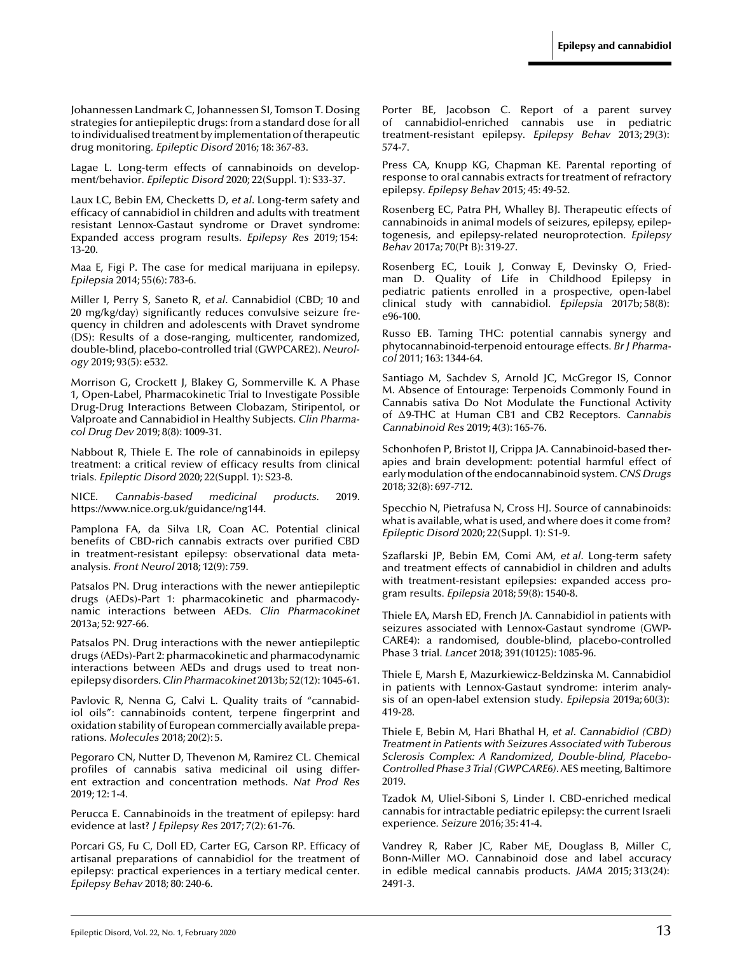<span id="page-12-0"></span>[Johannessen Landmark C, Johannessen SI, Tomson T. Dosing](http://www.ncbi.nlm.nih.gov/pubmed?term=Dosing strategies for antiepileptic drugs: from a standard dose for all to individualised treatment by implementation of therapeutic drug monitoring) strategies for antiepileptic drugs: from a standard dose for all to individualised treatment by implementation of therapeutic drug monitoring*. Epileptic Disord* 2016; 18: 367-83.

[Lagae L. Long-term effects of cannabinoids on develop](http://www.ncbi.nlm.nih.gov/pubmed?term=Long-term effects of cannabinoids on development/behavior)ment/behavior*. Epileptic Disord* 2020; 22(Suppl. 1): S33-37.

Laux LC, Bebin EM, Checketts D, *et al*. Long-term safety and [efficacy of cannabidiol in children and adults with treatment](http://www.ncbi.nlm.nih.gov/pubmed?term=Long-term safety and efficacy of cannabidiol in children and adults with treatment resistant Lennox-Gastaut syndrome or Dravet syndrome: Expanded access program results) resistant Lennox-Gastaut syndrome or Dravet syndrome: Expanded access program results*. Epilepsy Res* 2019; 154: 13-20.

[Maa E, Figi P. The case for medical marijuana in epilepsy](http://www.ncbi.nlm.nih.gov/pubmed?term=The case for medical marijuana in epilepsy)*. Epilepsia* 2014; 55(6): 783-6.

Miller I, Perry S, Saneto R, *et al*. Cannabidiol (CBD; 10 and [20 mg/kg/day\) significantly reduces convulsive seizure fre](http://www.ncbi.nlm.nih.gov/pubmed?term=Cannabidiol (CBD; 10 and 20 mg/kg/day) significantly reduces convulsive seizure frequency in children and adolescents with Dravet syndrome (DS): Results of a dose-ranging, multicenter, randomized, double-blind, placebo-controlled trial (GWPCARE2))quency in children and adolescents with Dravet syndrome (DS): Results of a dose-ranging, multicenter, randomized, double-blind, placebo-controlled trial (GWPCARE2)*. Neurology* 2019; 93(5): e532.

Morrison G, Crockett J, Blakey G, Sommerville K. A Phase [1, Open-Label, Pharmacokinetic Trial to Investigate Possible](http://www.ncbi.nlm.nih.gov/pubmed?term=A Phase 1, Open-Label, Pharmacokinetic Trial to Investigate Possible Drug-Drug Interactions Between Clobazam, Stiripentol, or Valproate and Cannabidiol in Healthy Subjects) Drug-Drug Interactions Between Clobazam, Stiripentol, or Valproate and Cannabidiol in Healthy Subjects*. Clin Pharmacol Drug Dev* 2019; 8(8): 1009-31.

Nabbout R, Thiele E. The role of cannabinoids in epilepsy [treatment: a critical review of efficacy results from clinical](http://www.ncbi.nlm.nih.gov/pubmed?term=The role of cannabinoids in epilepsy treatment: a critical review of efficacy results from clinical trials) trials*. Epileptic Disord* 2020; 22(Suppl. 1): S23-8.

NICE. *Cannabis-based medicinal products.* 2019. https://www.nice.org.uk/guidance/ng144.

[Pamplona FA, da Silva LR, Coan AC. Potential clinical](http://www.ncbi.nlm.nih.gov/pubmed?term=Potential clinical benefits of CBD-rich cannabis extracts over purified CBD in treatment-resistant epilepsy: observational data meta-analysis) benefits of CBD-rich cannabis extracts over purified CBD in treatment-resistant epilepsy: observational data metaanalysis*. Front Neurol* 2018; 12(9): 759.

[Patsalos PN. Drug interactions with the newer antiepileptic](http://www.ncbi.nlm.nih.gov/pubmed?term=Drug interactions with the newer antiepileptic drugs (AEDs)-Part 1: pharmacokinetic and pharmacodynamic interactions between AEDs) drugs (AEDs)-Part 1: pharmacokinetic and pharmacodynamic interactions between AEDs*. Clin Pharmacokinet* 2013a; 52: 927-66.

[Patsalos PN. Drug interactions with the newer antiepileptic](http://www.ncbi.nlm.nih.gov/pubmed?term=Drug interactions with the newer antiepileptic drugs (AEDs)-Part 2: pharmacokinetic and pharmacodynamic interactions between AEDs and drugs used to treat non-epilepsy disorders) drugs (AEDs)-Part 2: pharmacokinetic and pharmacodynamic interactions between AEDs and drugs used to treat nonepilepsy disorders*. Clin Pharmacokinet* 2013b; 52(12): 1045-61.

Pavlovic R, Nenna G, Calvi L. Quality traits of "cannabidiol oils": cannabinoids content, terpene fingerprint and [oxidation stability of European commercially available prepa](http://www.ncbi.nlm.nih.gov/pubmed?term=Quality traits of cannabidiol oils: cannabinoids content, terpene fingerprint and oxidation stability of European commercially available preparations)rations*. Molecules* 2018; 20(2): 5.

Pegoraro CN, Nutter D, Thevenon M, Ramirez CL. Chemical [profiles of cannabis sativa medicinal oil using differ](http://www.ncbi.nlm.nih.gov/pubmed?term=Chemical profiles of cannabis sativa medicinal oil using different extraction and concentration methods)ent extraction and concentration methods*. Nat Prod Res* 2019; 12: 1-4.

[Perucca E. Cannabinoids in the treatment of epilepsy: hard](http://www.ncbi.nlm.nih.gov/pubmed?term=Cannabinoids in the treatment of epilepsy: hard evidence at last?) evidence at last? *J Epilepsy Res* 2017; 7(2): 61-76.

[Porcari GS, Fu C, Doll ED, Carter EG, Carson RP. Efficacy of](http://www.ncbi.nlm.nih.gov/pubmed?term=Efficacy of artisanal preparations of cannabidiol for the treatment of epilepsy: practical experiences in a tertiary medical center) artisanal preparations of cannabidiol for the treatment of epilepsy: practical experiences in a tertiary medical center*. Epilepsy Behav* 2018; 80: 240-6.

[Porter BE, Jacobson C. Report of a parent survey](http://www.ncbi.nlm.nih.gov/pubmed?term=Report of a parent survey of cannabidiol-enriched cannabis use in pediatric treatment-resistant epilepsy) of cannabidiol-enriched cannabis use in pediatric treatment-resistant epilepsy*. Epilepsy Behav* 2013; 29(3): 574-7.

[Press CA, Knupp KG, Chapman KE. Parental reporting of](http://www.ncbi.nlm.nih.gov/pubmed?term=Parental reporting of response to oral cannabis extracts for treatment of refractory epilepsy) response to oral cannabis extracts for treatment of refractory epilepsy*. Epilepsy Behav* 2015; 45: 49-52.

[Rosenberg EC, Patra PH, Whalley BJ. Therapeutic effects of](http://www.ncbi.nlm.nih.gov/pubmed?term=Therapeutic effects of cannabinoids in animal models of seizures, epilepsy, epileptogenesis, and epilepsy-related neuroprotection) cannabinoids in animal models of seizures, epilepsy, epileptogenesis, and epilepsy-related neuroprotection*. Epilepsy Behav* 2017a; 70(Pt B): 319-27.

Rosenberg EC, Louik J, Conway E, Devinsky O, Friedman D. Quality of Life in Childhood Epilepsy in [pediatric patients enrolled in a prospective, open-label](http://www.ncbi.nlm.nih.gov/pubmed?term=Quality of Life in Childhood Epilepsy in pediatric patients enrolled in a prospective, open-label clinical study with cannabidiol) clinical study with cannabidiol*. Epilepsia* 2017b; 58(8): e96-100.

[Russo EB. Taming THC: potential cannabis synergy and](http://www.ncbi.nlm.nih.gov/pubmed?term=Taming THC: potential cannabis synergy and phytocannabinoid-terpenoid entourage effects) phytocannabinoid-terpenoid entourage effects*. Br J Pharmacol* 2011; 163: 1344-64.

Santiago M, Sachdev S, Arnold JC, McGregor IS, Connor M. Absence of Entourage: Terpenoids Commonly Found in [Cannabis sativa Do Not Modulate the Functional Activity](http://www.ncbi.nlm.nih.gov/pubmed?term=Absence of Entourage: Terpenoids Commonly Found in Cannabis sativa Do Not Modulate the Functional Activity of protect $
elax Delta $9-THC at Human CB1 and CB2 Receptors) of Δ9-THC at Human CB1 and CB2 Receptors. Cannabis *Cannabinoid Res* 2019; 4(3): 165-76.

[Schonhofen P, Bristot IJ, Crippa JA. Cannabinoid-based ther](http://www.ncbi.nlm.nih.gov/pubmed?term=Cannabinoid-based therapies and brain development: potential harmful effect of early modulation of the endocannabinoid system)apies and brain development: potential harmful effect of early modulation of the endocannabinoid system*. CNS Drugs* 2018; 32(8): 697-712.

Specchio N, Pietrafusa N, Cross HJ. Source of cannabinoids: [what is available, what is used, and where does it come from?](http://www.ncbi.nlm.nih.gov/pubmed?term=Source of cannabinoids: what is available, what is used, and where does it come from?) *Epileptic Disord* 2020; 22(Suppl. 1): S1-9.

Szaflarski JP, Bebin EM, Comi AM, *et al*. Long-term safety and treatment effects of cannabidiol in children and adults [with treatment-resistant epilepsies: expanded access pro](http://www.ncbi.nlm.nih.gov/pubmed?term=Long-term safety and treatment effects of cannabidiol in children and adults with treatment-resistant epilepsies: expanded access program results)gram results*. Epilepsia* 2018; 59(8): 1540-8.

Thiele EA, Marsh ED, French JA. Cannabidiol in patients with [seizures associated with Lennox-Gastaut syndrome \(GWP-](http://www.ncbi.nlm.nih.gov/pubmed?term=Cannabidiol in patients with seizures associated with Lennox-Gastaut syndrome (GWPCARE4): a randomised, double-blind, placebo-controlled Phase 3 trial)CARE4): a randomised, double-blind, placebo-controlled Phase 3 trial*. Lancet* 2018; 391(10125): 1085-96.

Thiele E, Marsh E, Mazurkiewicz-Beldzinska M. Cannabidiol [in patients with Lennox-Gastaut syndrome: interim analy](http://www.ncbi.nlm.nih.gov/pubmed?term=Cannabidiol in patients with Lennox-Gastaut syndrome: interim analysis of an open-label extension study)sis of an open-label extension study*. Epilepsia* 2019a; 60(3): 419-28.

Thiele E, Bebin M, Hari Bhathal H, *et al*. *Cannabidiol (CBD) Treatment in Patients with Seizures Associated with Tuberous Sclerosis Complex: A Randomized, Double-blind, Placebo-Controlled Phase 3 Trial (GWPCARE6)*. AES meeting, Baltimore 2019.

[Tzadok M, Uliel-Siboni S, Linder I. CBD-enriched medical](http://www.ncbi.nlm.nih.gov/pubmed?term=CBD-enriched medical cannabis for intractable pediatric epilepsy: the current Israeli experience) cannabis for intractable pediatric epilepsy: the current Israeli experience*. Seizure* 2016; 35: 41-4.

Vandrey R, Raber JC, Raber ME, Douglass B, Miller C, [Bonn-Miller MO. Cannabinoid dose and label accuracy](http://www.ncbi.nlm.nih.gov/pubmed?term=Cannabinoid dose and label accuracy in edible medical cannabis products) in edible medical cannabis products*. JAMA* 2015; 313(24): 2491-3.